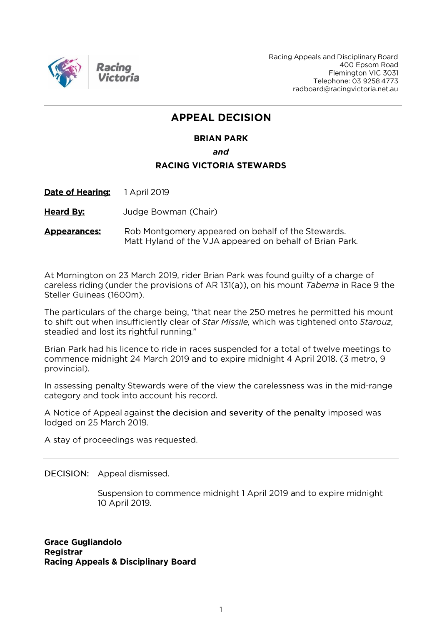

Racing Appeals and Disciplinary Board 400 Epsom Road Flemington VIC 3031 Telephone: 03 9258 4773 radboard@racingvictoria.net.au

# **APPEAL DECISION**

#### **BRIAN PARK**

and

# **RACING VICTORIA STEWARDS**

Date of Hearing: 1 April 2019

**Heard By:** Judge Bowman (Chair)

Rob Montgomery appeared on behalf of the Stewards. **Appearances:** Matt Hyland of the VJA appeared on behalf of Brian Park.

At Mornington on 23 March 2019, rider Brian Park was found guilty of a charge of careless riding (under the provisions of AR 131(a)), on his mount Taberna in Race 9 the Steller Guineas (1600m).

The particulars of the charge being, "that near the 250 metres he permitted his mount to shift out when insufficiently clear of Star Missile, which was tightened onto Starouz, steadied and lost its rightful running."

Brian Park had his licence to ride in races suspended for a total of twelve meetings to commence midnight 24 March 2019 and to expire midnight 4 April 2018. (3 metro, 9 provincial).

In assessing penalty Stewards were of the view the carelessness was in the mid-range category and took into account his record.

A Notice of Appeal against the decision and severity of the penalty imposed was lodged on 25 March 2019.

A stay of proceedings was requested.

DECISION: Appeal dismissed.

Suspension to commence midnight 1 April 2019 and to expire midnight 10 April 2019.

**Grace Gugliandolo Registrar Racing Appeals & Disciplinary Board**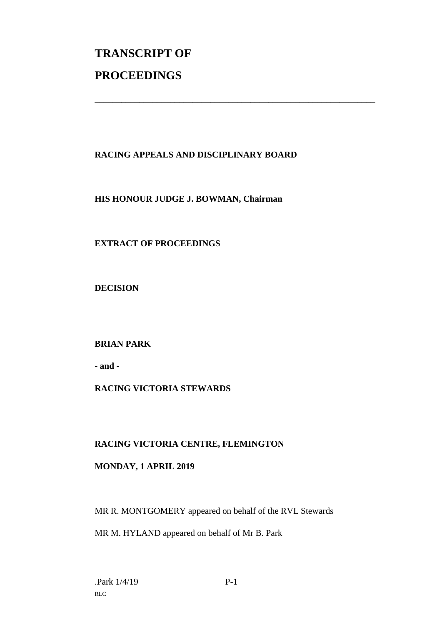# **TRANSCRIPT OF PROCEEDINGS**

# **RACING APPEALS AND DISCIPLINARY BOARD**

\_\_\_\_\_\_\_\_\_\_\_\_\_\_\_\_\_\_\_\_\_\_\_\_\_\_\_\_\_\_\_\_\_\_\_\_\_\_\_\_\_\_\_\_\_\_\_\_\_\_\_\_\_\_\_\_\_\_\_\_\_\_\_

#### **HIS HONOUR JUDGE J. BOWMAN, Chairman**

# **EXTRACT OF PROCEEDINGS**

**DECISION**

# **BRIAN PARK**

**- and -**

# **RACING VICTORIA STEWARDS**

#### **RACING VICTORIA CENTRE, FLEMINGTON**

#### **MONDAY, 1 APRIL 2019**

MR R. MONTGOMERY appeared on behalf of the RVL Stewards

MR M. HYLAND appeared on behalf of Mr B. Park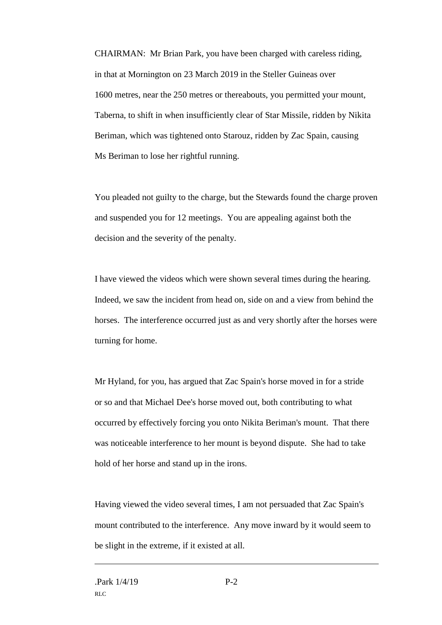CHAIRMAN: Mr Brian Park, you have been charged with careless riding, in that at Mornington on 23 March 2019 in the Steller Guineas over 1600 metres, near the 250 metres or thereabouts, you permitted your mount, Taberna, to shift in when insufficiently clear of Star Missile, ridden by Nikita Beriman, which was tightened onto Starouz, ridden by Zac Spain, causing Ms Beriman to lose her rightful running.

You pleaded not guilty to the charge, but the Stewards found the charge proven and suspended you for 12 meetings. You are appealing against both the decision and the severity of the penalty.

I have viewed the videos which were shown several times during the hearing. Indeed, we saw the incident from head on, side on and a view from behind the horses. The interference occurred just as and very shortly after the horses were turning for home.

Mr Hyland, for you, has argued that Zac Spain's horse moved in for a stride or so and that Michael Dee's horse moved out, both contributing to what occurred by effectively forcing you onto Nikita Beriman's mount. That there was noticeable interference to her mount is beyond dispute. She had to take hold of her horse and stand up in the irons.

Having viewed the video several times, I am not persuaded that Zac Spain's mount contributed to the interference. Any move inward by it would seem to be slight in the extreme, if it existed at all.